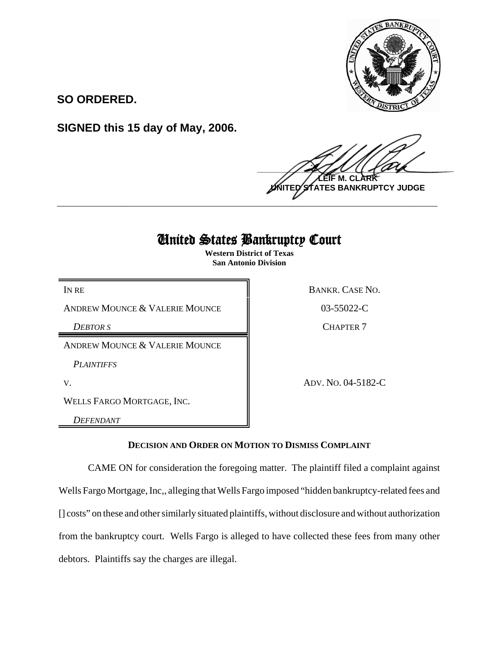

**SO ORDERED.**

**SIGNED this 15 day of May, 2006.**

 $\frac{1}{2}$ **LEIF M. CLARK NTES BANKRUPTCY JUDGE \_\_\_\_\_\_\_\_\_\_\_\_\_\_\_\_\_\_\_\_\_\_\_\_\_\_\_\_\_\_\_\_\_\_\_\_\_\_\_\_\_\_\_\_\_\_\_\_\_\_\_\_\_\_\_\_\_\_\_\_**

# United States Bankruptcy Court

**Western District of Texas San Antonio Division**

ANDREW MOUNCE & VALERIE MOUNCE 8 03-55022-C

*DEBTOR S* CHAPTER 7

ANDREW MOUNCE & VALERIE MOUNCE

*PLAINTIFFS* 

WELLS FARGO MORTGAGE, INC.

*DEFENDANT*

IN RE BANKR. CASE NO.

V. ADV. NO. 04-5182-C

# **DECISION AND ORDER ON MOTION TO DISMISS COMPLAINT**

CAME ON for consideration the foregoing matter. The plaintiff filed a complaint against Wells Fargo Mortgage, Inc,, alleging that Wells Fargo imposed "hidden bankruptcy-related fees and [] costs" on these and other similarly situated plaintiffs, without disclosure and without authorization from the bankruptcy court. Wells Fargo is alleged to have collected these fees from many other debtors. Plaintiffs say the charges are illegal.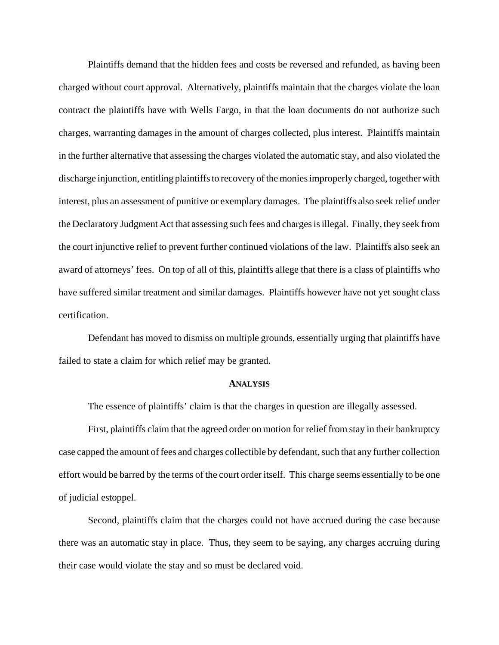Plaintiffs demand that the hidden fees and costs be reversed and refunded, as having been charged without court approval. Alternatively, plaintiffs maintain that the charges violate the loan contract the plaintiffs have with Wells Fargo, in that the loan documents do not authorize such charges, warranting damages in the amount of charges collected, plus interest. Plaintiffs maintain in the further alternative that assessing the charges violated the automatic stay, and also violated the discharge injunction, entitling plaintiffs to recovery of the monies improperly charged, together with interest, plus an assessment of punitive or exemplary damages. The plaintiffs also seek relief under the Declaratory Judgment Act that assessing such fees and charges is illegal. Finally, they seek from the court injunctive relief to prevent further continued violations of the law. Plaintiffs also seek an award of attorneys' fees. On top of all of this, plaintiffs allege that there is a class of plaintiffs who have suffered similar treatment and similar damages. Plaintiffs however have not yet sought class certification.

Defendant has moved to dismiss on multiple grounds, essentially urging that plaintiffs have failed to state a claim for which relief may be granted.

#### **ANALYSIS**

The essence of plaintiffs' claim is that the charges in question are illegally assessed.

First, plaintiffs claim that the agreed order on motion for relief from stay in their bankruptcy case capped the amount of fees and charges collectible by defendant, such that any further collection effort would be barred by the terms of the court order itself. This charge seems essentially to be one of judicial estoppel.

Second, plaintiffs claim that the charges could not have accrued during the case because there was an automatic stay in place. Thus, they seem to be saying, any charges accruing during their case would violate the stay and so must be declared void.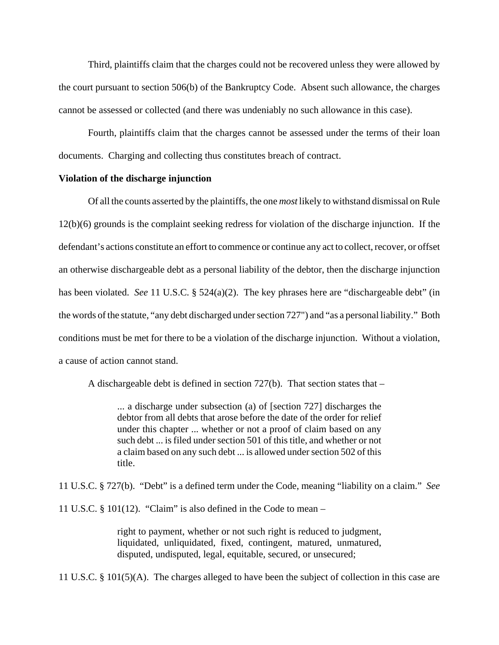Third, plaintiffs claim that the charges could not be recovered unless they were allowed by the court pursuant to section 506(b) of the Bankruptcy Code. Absent such allowance, the charges cannot be assessed or collected (and there was undeniably no such allowance in this case).

Fourth, plaintiffs claim that the charges cannot be assessed under the terms of their loan documents. Charging and collecting thus constitutes breach of contract.

## **Violation of the discharge injunction**

Of all the counts asserted by the plaintiffs, the one *most* likely to withstand dismissal on Rule 12(b)(6) grounds is the complaint seeking redress for violation of the discharge injunction. If the defendant's actions constitute an effort to commence or continue any act to collect, recover, or offset an otherwise dischargeable debt as a personal liability of the debtor, then the discharge injunction has been violated. *See* 11 U.S.C. § 524(a)(2). The key phrases here are "dischargeable debt" (in the words of the statute, "any debt discharged under section 727") and "as a personal liability." Both conditions must be met for there to be a violation of the discharge injunction. Without a violation, a cause of action cannot stand.

A dischargeable debt is defined in section 727(b). That section states that –

... a discharge under subsection (a) of [section 727] discharges the debtor from all debts that arose before the date of the order for relief under this chapter ... whether or not a proof of claim based on any such debt ... is filed under section 501 of this title, and whether or not a claim based on any such debt ... is allowed under section 502 of this title.

11 U.S.C. § 727(b). "Debt" is a defined term under the Code, meaning "liability on a claim." *See*

11 U.S.C. § 101(12). "Claim" is also defined in the Code to mean –

right to payment, whether or not such right is reduced to judgment, liquidated, unliquidated, fixed, contingent, matured, unmatured, disputed, undisputed, legal, equitable, secured, or unsecured;

11 U.S.C. § 101(5)(A). The charges alleged to have been the subject of collection in this case are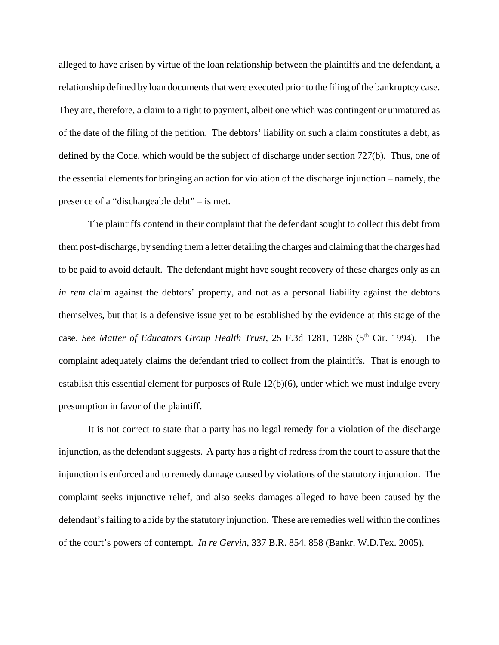alleged to have arisen by virtue of the loan relationship between the plaintiffs and the defendant, a relationship defined by loan documents that were executed prior to the filing of the bankruptcy case. They are, therefore, a claim to a right to payment, albeit one which was contingent or unmatured as of the date of the filing of the petition. The debtors' liability on such a claim constitutes a debt, as defined by the Code, which would be the subject of discharge under section 727(b). Thus, one of the essential elements for bringing an action for violation of the discharge injunction – namely, the presence of a "dischargeable debt" – is met.

The plaintiffs contend in their complaint that the defendant sought to collect this debt from them post-discharge, by sending them a letter detailing the charges and claiming that the charges had to be paid to avoid default. The defendant might have sought recovery of these charges only as an *in rem* claim against the debtors' property, and not as a personal liability against the debtors themselves, but that is a defensive issue yet to be established by the evidence at this stage of the case. *See Matter of Educators Group Health Trust*, 25 F.3d 1281, 1286 (5<sup>th</sup> Cir. 1994). The complaint adequately claims the defendant tried to collect from the plaintiffs. That is enough to establish this essential element for purposes of Rule 12(b)(6), under which we must indulge every presumption in favor of the plaintiff.

It is not correct to state that a party has no legal remedy for a violation of the discharge injunction, as the defendant suggests. A party has a right of redress from the court to assure that the injunction is enforced and to remedy damage caused by violations of the statutory injunction. The complaint seeks injunctive relief, and also seeks damages alleged to have been caused by the defendant's failing to abide by the statutory injunction. These are remedies well within the confines of the court's powers of contempt. *In re Gervin*, 337 B.R. 854, 858 (Bankr. W.D.Tex. 2005).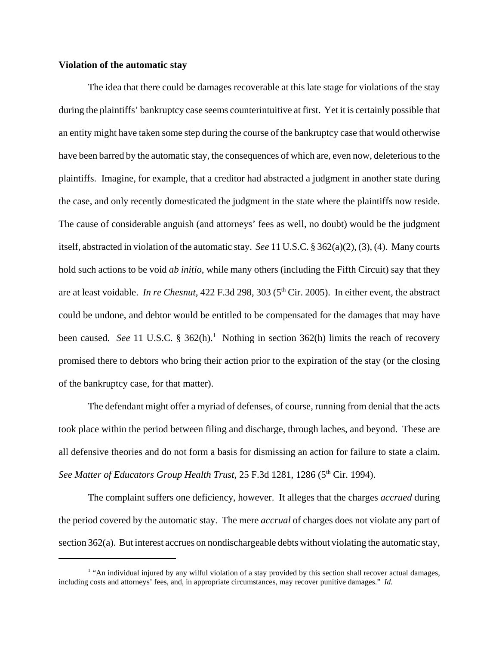## **Violation of the automatic stay**

The idea that there could be damages recoverable at this late stage for violations of the stay during the plaintiffs' bankruptcy case seems counterintuitive at first. Yet it is certainly possible that an entity might have taken some step during the course of the bankruptcy case that would otherwise have been barred by the automatic stay, the consequences of which are, even now, deleterious to the plaintiffs. Imagine, for example, that a creditor had abstracted a judgment in another state during the case, and only recently domesticated the judgment in the state where the plaintiffs now reside. The cause of considerable anguish (and attorneys' fees as well, no doubt) would be the judgment itself, abstracted in violation of the automatic stay. *See* 11 U.S.C. § 362(a)(2), (3), (4). Many courts hold such actions to be void *ab initio*, while many others (including the Fifth Circuit) say that they are at least voidable. *In re Chesnut*, 422 F.3d 298, 303 (5<sup>th</sup> Cir. 2005). In either event, the abstract could be undone, and debtor would be entitled to be compensated for the damages that may have been caused. See 11 U.S.C. § 362(h).<sup>1</sup> Nothing in section 362(h) limits the reach of recovery promised there to debtors who bring their action prior to the expiration of the stay (or the closing of the bankruptcy case, for that matter).

The defendant might offer a myriad of defenses, of course, running from denial that the acts took place within the period between filing and discharge, through laches, and beyond. These are all defensive theories and do not form a basis for dismissing an action for failure to state a claim. *See Matter of Educators Group Health Trust*, 25 F.3d 1281, 1286 (5<sup>th</sup> Cir. 1994).

The complaint suffers one deficiency, however. It alleges that the charges *accrued* during the period covered by the automatic stay. The mere *accrual* of charges does not violate any part of section 362(a). But interest accrues on nondischargeable debts without violating the automatic stay,

<sup>&</sup>lt;sup>1</sup> "An individual injured by any wilful violation of a stay provided by this section shall recover actual damages, including costs and attorneys' fees, and, in appropriate circumstances, may recover punitive damages." *Id.*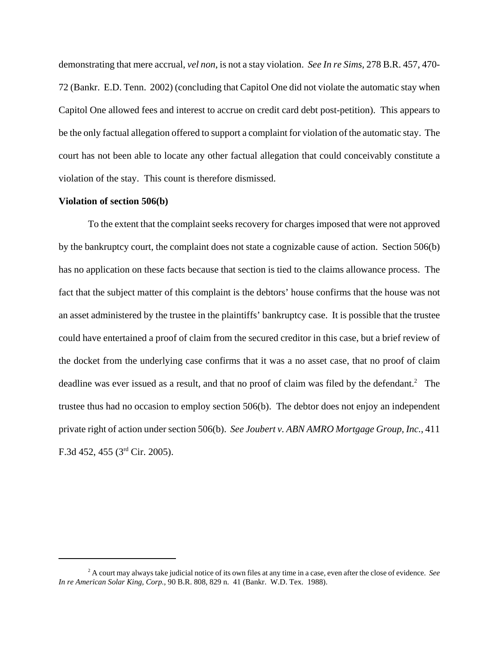demonstrating that mere accrual, *vel non*, is not a stay violation. *See In re Sims,* 278 B.R. 457, 470- 72 (Bankr. E.D. Tenn. 2002) (concluding that Capitol One did not violate the automatic stay when Capitol One allowed fees and interest to accrue on credit card debt post-petition). This appears to be the only factual allegation offered to support a complaint for violation of the automatic stay. The court has not been able to locate any other factual allegation that could conceivably constitute a violation of the stay. This count is therefore dismissed.

# **Violation of section 506(b)**

To the extent that the complaint seeks recovery for charges imposed that were not approved by the bankruptcy court, the complaint does not state a cognizable cause of action. Section 506(b) has no application on these facts because that section is tied to the claims allowance process. The fact that the subject matter of this complaint is the debtors' house confirms that the house was not an asset administered by the trustee in the plaintiffs' bankruptcy case. It is possible that the trustee could have entertained a proof of claim from the secured creditor in this case, but a brief review of the docket from the underlying case confirms that it was a no asset case, that no proof of claim deadline was ever issued as a result, and that no proof of claim was filed by the defendant.<sup>2</sup> The trustee thus had no occasion to employ section 506(b). The debtor does not enjoy an independent private right of action under section 506(b). *See Joubert v. ABN AMRO Mortgage Group, Inc.*, 411 F.3d 452, 455 (3rd Cir. 2005).

<sup>2</sup> A court may always take judicial notice of its own files at any time in a case, even after the close of evidence. *See In re American Solar King, Corp.,* 90 B.R. 808, 829 n. 41 (Bankr. W.D. Tex. 1988).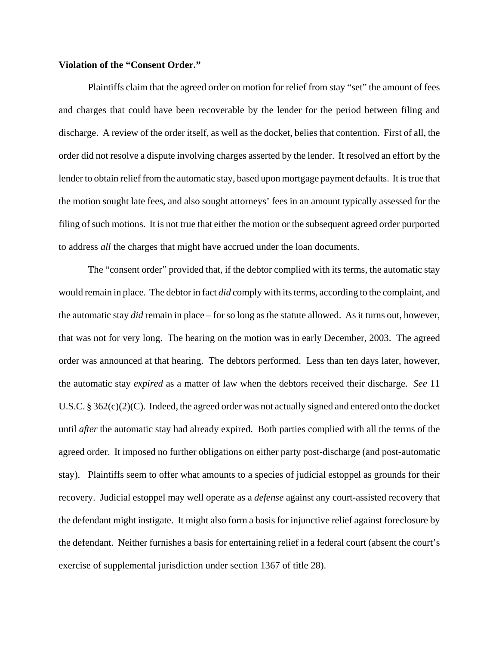#### **Violation of the "Consent Order."**

Plaintiffs claim that the agreed order on motion for relief from stay "set" the amount of fees and charges that could have been recoverable by the lender for the period between filing and discharge. A review of the order itself, as well as the docket, belies that contention. First of all, the order did not resolve a dispute involving charges asserted by the lender. It resolved an effort by the lender to obtain relief from the automatic stay, based upon mortgage payment defaults. It is true that the motion sought late fees, and also sought attorneys' fees in an amount typically assessed for the filing of such motions. It is not true that either the motion or the subsequent agreed order purported to address *all* the charges that might have accrued under the loan documents.

The "consent order" provided that, if the debtor complied with its terms, the automatic stay would remain in place. The debtor in fact *did* comply with its terms, according to the complaint, and the automatic stay *did* remain in place – for so long as the statute allowed. As it turns out, however, that was not for very long. The hearing on the motion was in early December, 2003. The agreed order was announced at that hearing. The debtors performed. Less than ten days later, however, the automatic stay *expired* as a matter of law when the debtors received their discharge. *See* 11 U.S.C. § 362(c)(2)(C). Indeed, the agreed order was not actually signed and entered onto the docket until *after* the automatic stay had already expired. Both parties complied with all the terms of the agreed order. It imposed no further obligations on either party post-discharge (and post-automatic stay). Plaintiffs seem to offer what amounts to a species of judicial estoppel as grounds for their recovery. Judicial estoppel may well operate as a *defense* against any court-assisted recovery that the defendant might instigate. It might also form a basis for injunctive relief against foreclosure by the defendant. Neither furnishes a basis for entertaining relief in a federal court (absent the court's exercise of supplemental jurisdiction under section 1367 of title 28).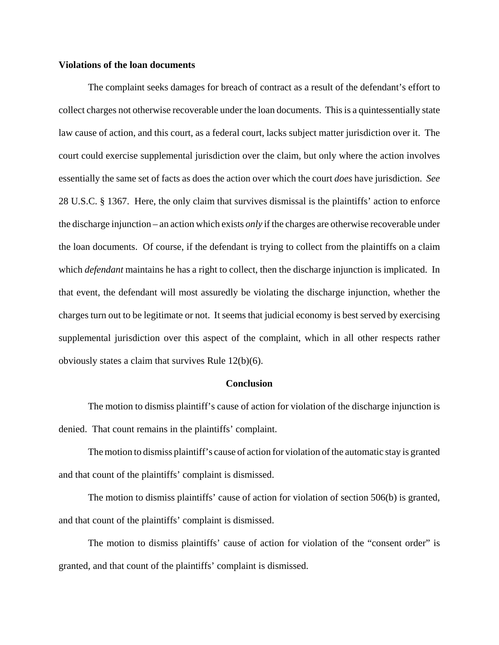## **Violations of the loan documents**

The complaint seeks damages for breach of contract as a result of the defendant's effort to collect charges not otherwise recoverable under the loan documents. This is a quintessentially state law cause of action, and this court, as a federal court, lacks subject matter jurisdiction over it. The court could exercise supplemental jurisdiction over the claim, but only where the action involves essentially the same set of facts as does the action over which the court *does* have jurisdiction. *See* 28 U.S.C. § 1367. Here, the only claim that survives dismissal is the plaintiffs' action to enforce the discharge injunction – an action which exists *only* if the charges are otherwise recoverable under the loan documents. Of course, if the defendant is trying to collect from the plaintiffs on a claim which *defendant* maintains he has a right to collect, then the discharge injunction is implicated. In that event, the defendant will most assuredly be violating the discharge injunction, whether the charges turn out to be legitimate or not. It seems that judicial economy is best served by exercising supplemental jurisdiction over this aspect of the complaint, which in all other respects rather obviously states a claim that survives Rule 12(b)(6).

#### **Conclusion**

The motion to dismiss plaintiff's cause of action for violation of the discharge injunction is denied. That count remains in the plaintiffs' complaint.

The motion to dismiss plaintiff's cause of action for violation of the automatic stay is granted and that count of the plaintiffs' complaint is dismissed.

The motion to dismiss plaintiffs' cause of action for violation of section 506(b) is granted, and that count of the plaintiffs' complaint is dismissed.

The motion to dismiss plaintiffs' cause of action for violation of the "consent order" is granted, and that count of the plaintiffs' complaint is dismissed.